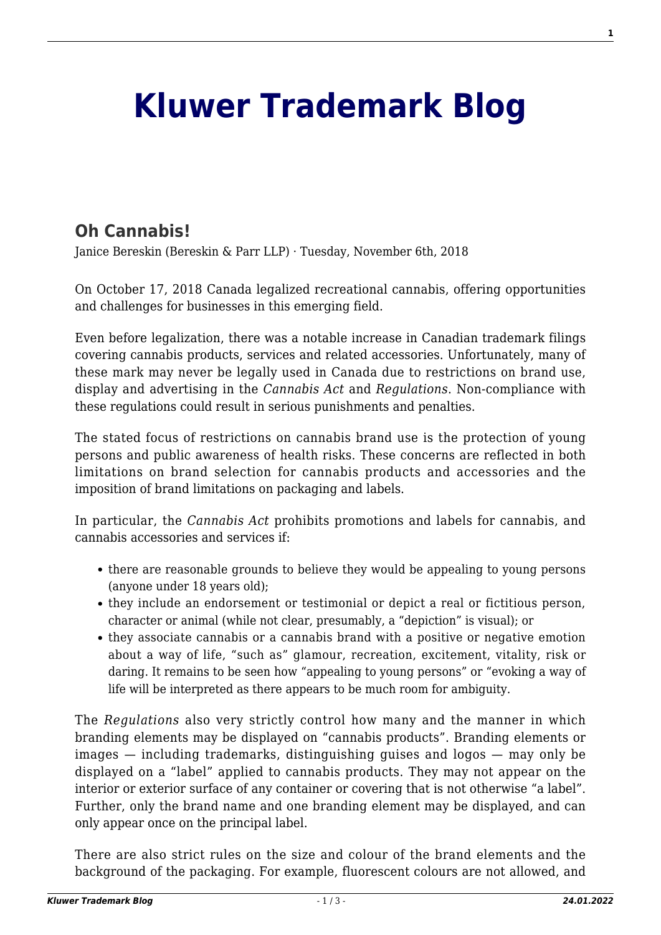## **[Kluwer Trademark Blog](http://trademarkblog.kluweriplaw.com/)**

## **[Oh Cannabis!](http://trademarkblog.kluweriplaw.com/2018/11/06/oh-cannabis/)**

Janice Bereskin (Bereskin & Parr LLP) · Tuesday, November 6th, 2018

On October 17, 2018 Canada legalized recreational cannabis, offering opportunities and challenges for businesses in this emerging field.

Even before legalization, there was a notable increase in Canadian trademark filings covering cannabis products, services and related accessories. Unfortunately, many of these mark may never be legally used in Canada due to restrictions on brand use, display and advertising in the *Cannabis Act* and *Regulations*. Non-compliance with these regulations could result in serious punishments and penalties.

The stated focus of restrictions on cannabis brand use is the protection of young persons and public awareness of health risks. These concerns are reflected in both limitations on brand selection for cannabis products and accessories and the imposition of brand limitations on packaging and labels.

In particular, the *Cannabis Act* prohibits promotions and labels for cannabis, and cannabis accessories and services if:

- there are reasonable grounds to believe they would be appealing to young persons (anyone under 18 years old);
- they include an endorsement or testimonial or depict a real or fictitious person, character or animal (while not clear, presumably, a "depiction" is visual); or
- they associate cannabis or a cannabis brand with a positive or negative emotion about a way of life, "such as" glamour, recreation, excitement, vitality, risk or daring. It remains to be seen how "appealing to young persons" or "evoking a way of life will be interpreted as there appears to be much room for ambiguity.

The *Regulations* also very strictly control how many and the manner in which branding elements may be displayed on "cannabis products". Branding elements or images — including trademarks, distinguishing guises and logos — may only be displayed on a "label" applied to cannabis products. They may not appear on the interior or exterior surface of any container or covering that is not otherwise "a label". Further, only the brand name and one branding element may be displayed, and can only appear once on the principal label.

There are also strict rules on the size and colour of the brand elements and the background of the packaging. For example, fluorescent colours are not allowed, and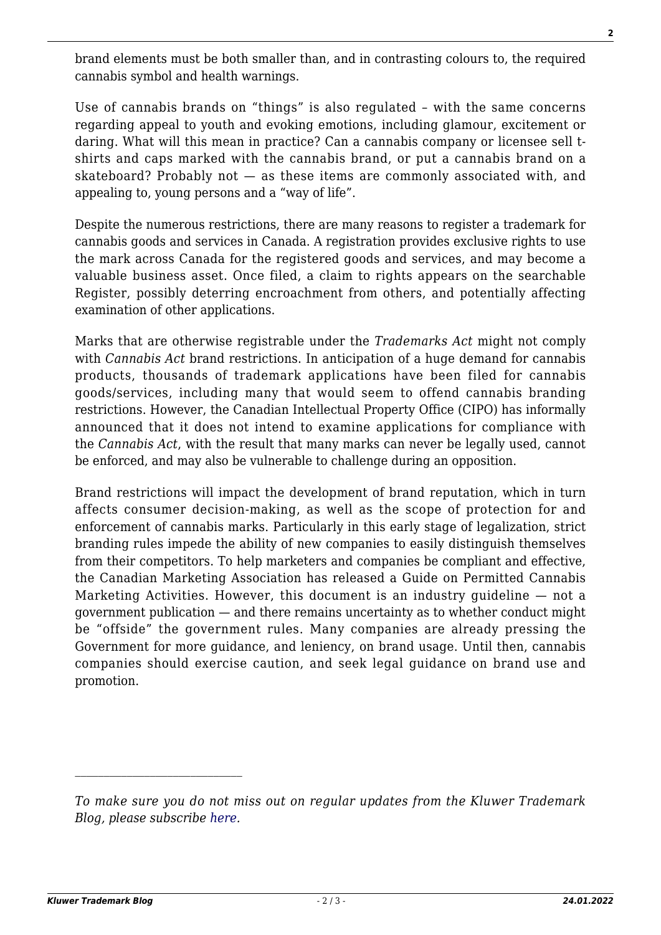brand elements must be both smaller than, and in contrasting colours to, the required cannabis symbol and health warnings.

Use of cannabis brands on "things" is also regulated – with the same concerns regarding appeal to youth and evoking emotions, including glamour, excitement or daring. What will this mean in practice? Can a cannabis company or licensee sell tshirts and caps marked with the cannabis brand, or put a cannabis brand on a skateboard? Probably not — as these items are commonly associated with, and appealing to, young persons and a "way of life".

Despite the numerous restrictions, there are many reasons to register a trademark for cannabis goods and services in Canada. A registration provides exclusive rights to use the mark across Canada for the registered goods and services, and may become a valuable business asset. Once filed, a claim to rights appears on the searchable Register, possibly deterring encroachment from others, and potentially affecting examination of other applications.

Marks that are otherwise registrable under the *Trademarks Act* might not comply with *Cannabis Act* brand restrictions. In anticipation of a huge demand for cannabis products, thousands of trademark applications have been filed for cannabis goods/services, including many that would seem to offend cannabis branding restrictions. However, the Canadian Intellectual Property Office (CIPO) has informally announced that it does not intend to examine applications for compliance with the *Cannabis Act*, with the result that many marks can never be legally used, cannot be enforced, and may also be vulnerable to challenge during an opposition.

Brand restrictions will impact the development of brand reputation, which in turn affects consumer decision-making, as well as the scope of protection for and enforcement of cannabis marks. Particularly in this early stage of legalization, strict branding rules impede the ability of new companies to easily distinguish themselves from their competitors. To help marketers and companies be compliant and effective, the Canadian Marketing Association has released a Guide on Permitted Cannabis Marketing Activities. However, this document is an industry guideline — not a government publication — and there remains uncertainty as to whether conduct might be "offside" the government rules. Many companies are already pressing the Government for more guidance, and leniency, on brand usage. Until then, cannabis companies should exercise caution, and seek legal guidance on brand use and promotion.

*To make sure you do not miss out on regular updates from the Kluwer Trademark Blog, please subscribe [here](http://trademarkblog.kluweriplaw.com/newsletter/).*